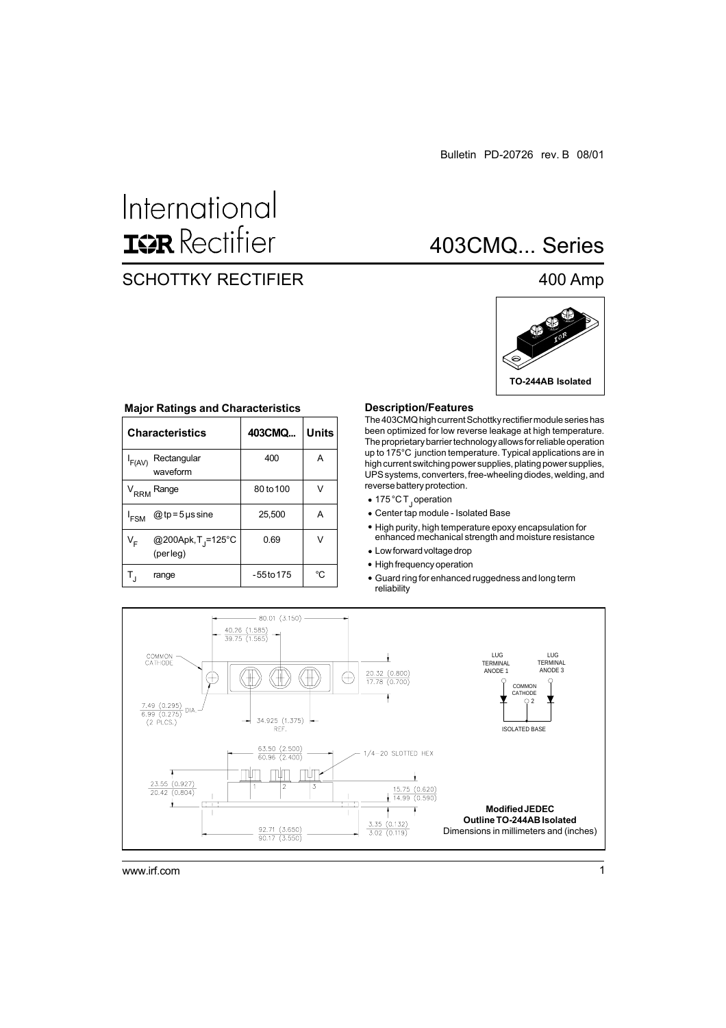## International **ISR** Rectifier

### SCHOTTKY RECTIFIER

### 403CMQ... Series

### 400 Amp



|                  | <b>Characteristics</b>                      | 403CMQ       | Units |
|------------------|---------------------------------------------|--------------|-------|
| F(AV)            | Rectangular<br>waveform                     | 400          | A     |
|                  | V <sub>RRM</sub> Range                      | 80 to 100    | V     |
| ' <sub>FSM</sub> | @ tp = 5 $\mu$ s sine                       | 25,500       | А     |
| V <sub>F</sub>   | @200Apk, T <sub>.J</sub> =125°C<br>(perleg) | 0.69         | ν     |
|                  | range                                       | $-55$ to 175 | °C    |

### **Major Ratings and Characteristics Description/Features**

The 403CMQ high current Schottky rectifier module series has been optimized for low reverse leakage at high temperature. The proprietary barrier technology allows for reliable operation up to 175°C junction temperature. Typical applications are in high current switching power supplies, plating power supplies, UPS systems, converters, free-wheeling diodes, welding, and reverse battery protection.

- 175 °C T<sub>J</sub> operation
- Center tap module Isolated Base
- High purity, high temperature epoxy encapsulation for enhanced mechanical strength and moisture resistance
- Low forward voltage drop
- High frequency operation
- Guard ring for enhanced ruggedness and long term reliability

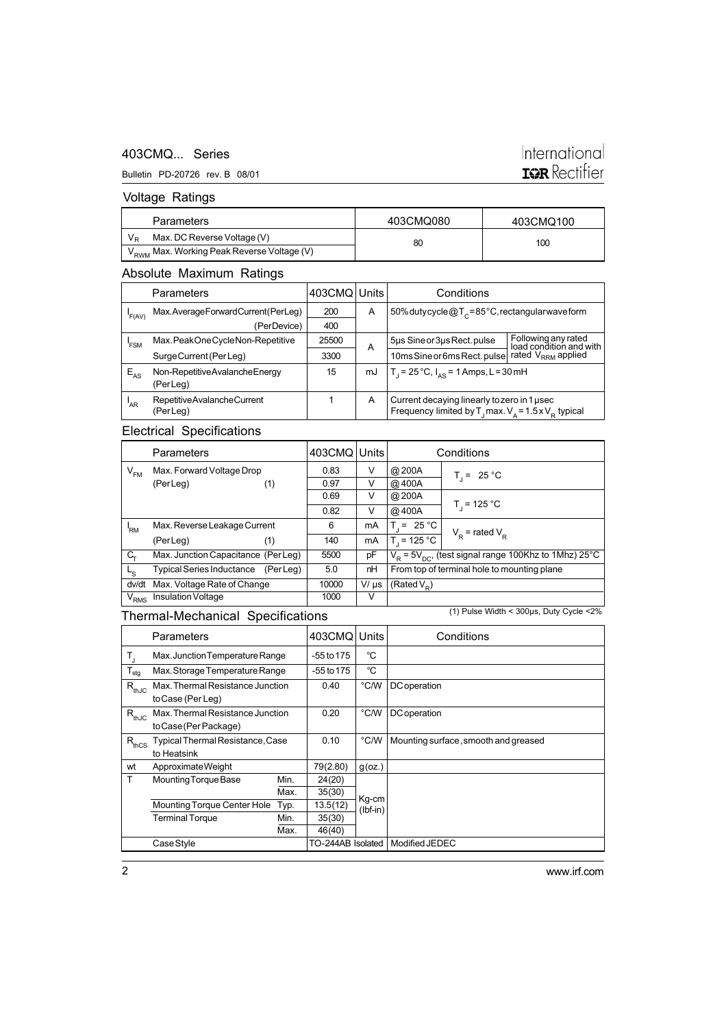### 403CMQ... Series

### Bulletin PD-20726 rev. B 08/01

# International<br>**IGR** Rectifier

### Voltage Ratings

| <b>Parameters</b>                                      | 403CMQ080 | 403CMQ100 |  |
|--------------------------------------------------------|-----------|-----------|--|
| Max. DC Reverse Voltage (V)                            | 80        | 100       |  |
| V <sub>RWM</sub> Max. Working Peak Reverse Voltage (V) |           |           |  |

### Absolute Maximum Ratings

|          | Parameters                                | 403CMQ Units |    | Conditions                                                                                                    |                                                |
|----------|-------------------------------------------|--------------|----|---------------------------------------------------------------------------------------------------------------|------------------------------------------------|
| 'F(AV)   | Max.AverageForwardCurrent(PerLeg)         | 200          | A  | 50% dutycycle @T <sub>c</sub> =85°C, rectangular wave form                                                    |                                                |
|          | (PerDevice)                               | 400          |    |                                                                                                               |                                                |
| 'FSM     | Max.PeakOneCycleNon-Repetitive            | 25500        | A  | 5µs Sine or 3µs Rect. pulse                                                                                   | Following any rated<br>load condition and with |
|          | Surge Current (Per Leg)                   | 3300         |    | 10ms Sine or 6ms Rect. pulse                                                                                  | rated V <sub>RRM</sub> applied                 |
| $E_{AS}$ | Non-RepetitiveAvalancheEnergy<br>(PerLeg) | 15           | mJ | $T_1 = 25^{\circ}C$ , $I_{AS} = 1$ Amps, L = 30 mH                                                            |                                                |
| $I_{AR}$ | Repetitive Avalanche Current<br>(PerLeg)  |              | A  | Current decaying linearly to zero in 1 usec<br>Frequency limited by $T_1$ max. $V_a = 1.5 \times V_p$ typical |                                                |

### Electrical Specifications

|                 | Parameters                         |           | 403CMQ | Units     |                                                   | Conditions                                                   |
|-----------------|------------------------------------|-----------|--------|-----------|---------------------------------------------------|--------------------------------------------------------------|
| $V_{FM}$        | Max. Forward Voltage Drop          |           | 0.83   | V         | @200A                                             | $T_i = 25 °C$                                                |
|                 | (PerLeg)                           | (1)       | 0.97   | v         | @400A                                             |                                                              |
|                 |                                    |           | 0.69   | V         | @200A                                             |                                                              |
|                 |                                    |           | 0.82   | V         | @400A                                             | $T_{1}$ = 125 °C                                             |
| <sup>I</sup> RM | Max. Reverse Leakage Current       |           | 6      | mA        | $T_i = 25 °C$                                     |                                                              |
|                 | (PerLeg)                           | (1)       | 140    | mA        | $T_1 = 125 °C$                                    | $V_p$ = rated $V_p$                                          |
| C <sub>τ</sub>  | Max. Junction Capacitance (PerLeg) |           | 5500   | pF        |                                                   | $V_R$ = 5 $V_{DC}$ , (test signal range 100Khz to 1Mhz) 25°C |
| L <sub>S</sub>  | <b>Typical Series Inductance</b>   | (Per Lea) | 5.0    | nH        | From top of terminal hole to mounting plane       |                                                              |
| dv/dt           | Max. Voltage Rate of Change        |           | 10000  | $V/\mu s$ | (Rated V <sub>n</sub> )                           |                                                              |
| $V_{RMS}$       | Insulation Voltage                 |           | 1000   | v         |                                                   |                                                              |
|                 | Thermal Mechanical Specifications  |           |        |           | (1) Pulse Width < $300\mu s$ , Duty Cycle < $2\%$ |                                                              |

### Thermal-Mechanical Specifications

|                  | Parameters                                                |      | 403CMQ            | Units               | Conditions                           |
|------------------|-----------------------------------------------------------|------|-------------------|---------------------|--------------------------------------|
| Т,               | Max. Junction Temperature Range                           |      | -55 to 175        | °C                  |                                      |
| $T_{\text{stg}}$ | Max. Storage Temperature Range                            |      | $-55$ to 175      | °C                  |                                      |
| $R_{thJC}$       | Max. Thermal Resistance Junction<br>to Case (Per Leg)     |      | 0.40              | °C/W                | DC operation                         |
| , $R_{thJC}$     | Max. Thermal Resistance Junction<br>to Case (Per Package) |      | 0.20              | °C/W                | DC operation                         |
| $R_{thCS}$       | Typical Thermal Resistance, Case<br>to Heatsink           |      | 0.10              | °C/W                | Mounting surface, smooth and greased |
| wt               | Approximate Weight                                        |      | 79(2.80)          | $g$ (oz.)           |                                      |
| T                | Mounting Torque Base                                      | Min. | 24(20)            |                     |                                      |
|                  |                                                           | Max. | 35(30)            |                     |                                      |
|                  | Mounting Torque Center Hole                               | Typ. | 13.5(12)          | Kg-cm<br>$(lbf-in)$ |                                      |
|                  | <b>Terminal Torque</b>                                    | Min. | 35(30)            |                     |                                      |
|                  |                                                           | Max. | 46(40)            |                     |                                      |
|                  | Case Style                                                |      | TO-244AB Isolated |                     | Modified JEDEC                       |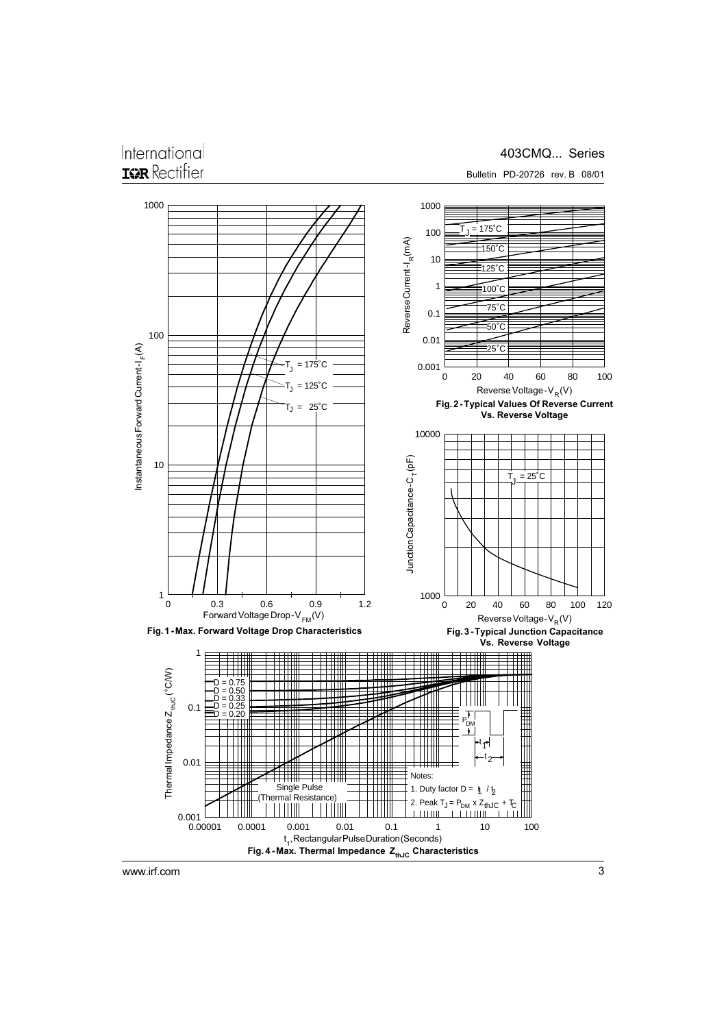### International **IGR** Rectifier

### 403CMQ... Series



Bulletin PD-20726 rev. B 08/01

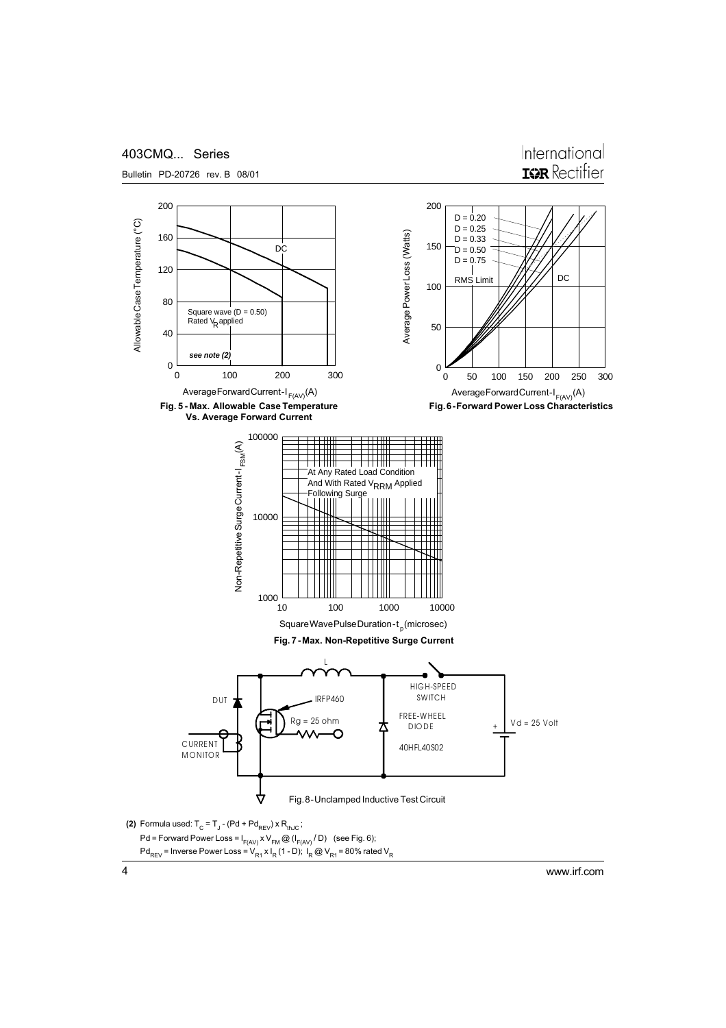

Bulletin PD-20726 rev. B 08/01